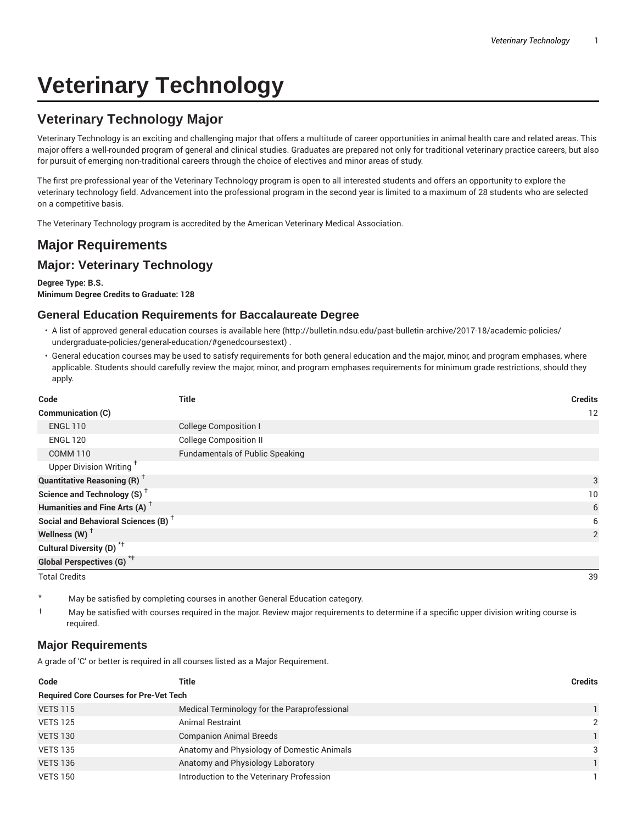# **Veterinary Technology**

# **Veterinary Technology Major**

Veterinary Technology is an exciting and challenging major that offers a multitude of career opportunities in animal health care and related areas. This major offers a well-rounded program of general and clinical studies. Graduates are prepared not only for traditional veterinary practice careers, but also for pursuit of emerging non-traditional careers through the choice of electives and minor areas of study.

The first pre-professional year of the Veterinary Technology program is open to all interested students and offers an opportunity to explore the veterinary technology field. Advancement into the professional program in the second year is limited to a maximum of 28 students who are selected on a competitive basis.

The Veterinary Technology program is accredited by the American Veterinary Medical Association.

## **Major Requirements**

## **Major: Veterinary Technology**

**Degree Type: B.S.**

**Minimum Degree Credits to Graduate: 128**

## **General Education Requirements for Baccalaureate Degree**

- A list of approved general education courses is available here (http://bulletin.ndsu.edu/past-bulletin-archive/2017-18/academic-policies/ undergraduate-policies/general-education/#genedcoursestext) .
- General education courses may be used to satisfy requirements for both general education and the major, minor, and program emphases, where applicable. Students should carefully review the major, minor, and program emphases requirements for minimum grade restrictions, should they apply.

| Code                                            | <b>Title</b>                           | <b>Credits</b> |
|-------------------------------------------------|----------------------------------------|----------------|
| Communication (C)                               |                                        | 12             |
| <b>ENGL 110</b>                                 | <b>College Composition I</b>           |                |
| <b>ENGL 120</b>                                 | <b>College Composition II</b>          |                |
| <b>COMM 110</b>                                 | <b>Fundamentals of Public Speaking</b> |                |
| Upper Division Writing <sup>+</sup>             |                                        |                |
| <b>Quantitative Reasoning (R)</b> <sup>†</sup>  |                                        | 3              |
| Science and Technology (S) <sup>+</sup>         |                                        | 10             |
| Humanities and Fine Arts (A) <sup>+</sup>       |                                        | 6              |
| Social and Behavioral Sciences (B) <sup>+</sup> |                                        | 6              |
| Wellness (W) $^{\dagger}$                       |                                        | 2              |
| Cultural Diversity (D) <sup>*†</sup>            |                                        |                |
| <b>Global Perspectives (G)</b> <sup>*†</sup>    |                                        |                |

Total Credits 39

May be satisfied by completing courses in another General Education category.

† May be satisfied with courses required in the major. Review major requirements to determine if a specific upper division writing course is required.

### **Major Requirements**

A grade of 'C' or better is required in all courses listed as a Major Requirement.

| Code                                          | Title                                        | <b>Credits</b> |  |  |
|-----------------------------------------------|----------------------------------------------|----------------|--|--|
| <b>Required Core Courses for Pre-Vet Tech</b> |                                              |                |  |  |
| <b>VETS 115</b>                               | Medical Terminology for the Paraprofessional |                |  |  |
| <b>VETS 125</b>                               | <b>Animal Restraint</b>                      | 2              |  |  |
| <b>VETS 130</b>                               | <b>Companion Animal Breeds</b>               |                |  |  |
| <b>VETS 135</b>                               | Anatomy and Physiology of Domestic Animals   | 3              |  |  |
| <b>VETS 136</b>                               | Anatomy and Physiology Laboratory            |                |  |  |
| <b>VETS 150</b>                               | Introduction to the Veterinary Profession    |                |  |  |